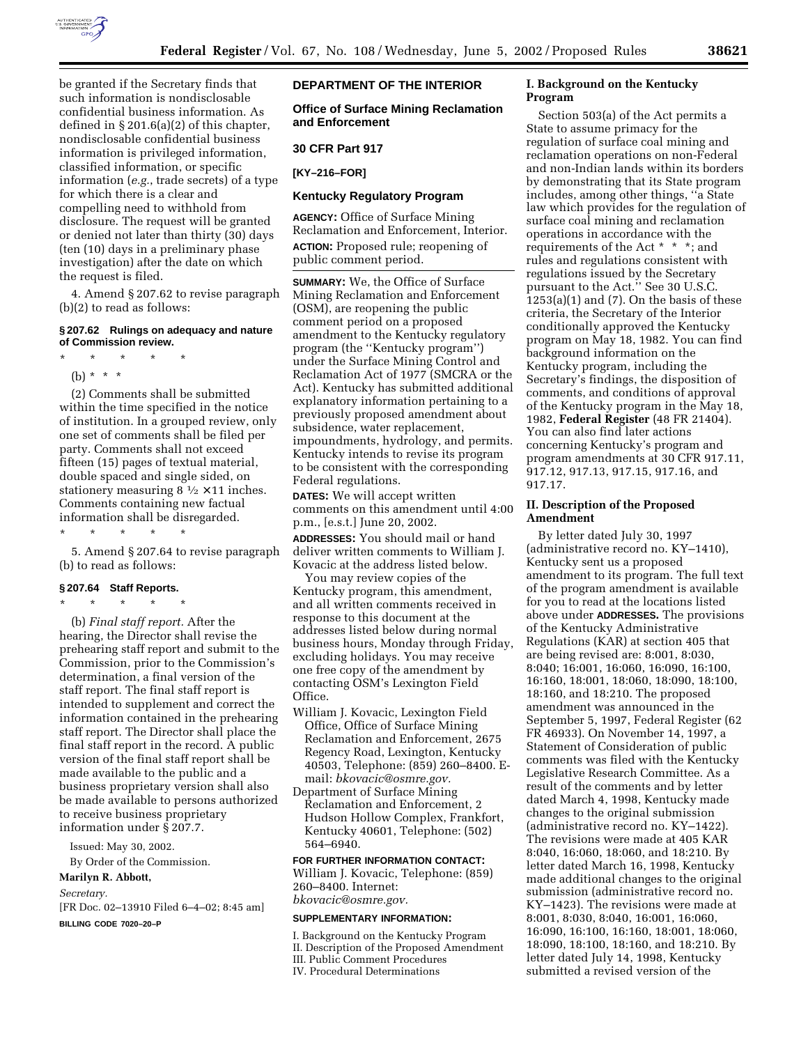

be granted if the Secretary finds that such information is nondisclosable confidential business information. As defined in § 201.6(a)(2) of this chapter, nondisclosable confidential business information is privileged information, classified information, or specific information (*e.g.*, trade secrets) of a type for which there is a clear and compelling need to withhold from disclosure. The request will be granted or denied not later than thirty (30) days (ten (10) days in a preliminary phase investigation) after the date on which the request is filed.

4. Amend § 207.62 to revise paragraph (b)(2) to read as follows:

#### **§ 207.62 Rulings on adequacy and nature of Commission review.**

- \* \* \* \* \* (b) \* \* \*
- (2) Comments shall be submitted within the time specified in the notice of institution. In a grouped review, only one set of comments shall be filed per party. Comments shall not exceed fifteen (15) pages of textual material, double spaced and single sided, on stationery measuring  $8 \frac{1}{2} \times 11$  inches. Comments containing new factual information shall be disregarded.

\* \* \* \* \*

5. Amend § 207.64 to revise paragraph (b) to read as follows:

# **§ 207.64 Staff Reports.** \* \* \* \* \*

(b) *Final staff report.* After the hearing, the Director shall revise the prehearing staff report and submit to the Commission, prior to the Commission's determination, a final version of the staff report. The final staff report is intended to supplement and correct the information contained in the prehearing staff report. The Director shall place the final staff report in the record. A public version of the final staff report shall be made available to the public and a business proprietary version shall also be made available to persons authorized to receive business proprietary information under § 207.7.

Issued: May 30, 2002.

By Order of the Commission.

#### **Marilyn R. Abbott,**

*Secretary.*

[FR Doc. 02–13910 Filed 6–4–02; 8:45 am] **BILLING CODE 7020–20–P**

# **DEPARTMENT OF THE INTERIOR**

**Office of Surface Mining Reclamation and Enforcement** 

## **30 CFR Part 917**

**[KY–216–FOR]** 

# **Kentucky Regulatory Program**

**AGENCY:** Office of Surface Mining Reclamation and Enforcement, Interior. **ACTION:** Proposed rule; reopening of public comment period.

**SUMMARY:** We, the Office of Surface Mining Reclamation and Enforcement (OSM), are reopening the public comment period on a proposed amendment to the Kentucky regulatory program (the ''Kentucky program'') under the Surface Mining Control and Reclamation Act of 1977 (SMCRA or the Act). Kentucky has submitted additional explanatory information pertaining to a previously proposed amendment about subsidence, water replacement, impoundments, hydrology, and permits. Kentucky intends to revise its program to be consistent with the corresponding Federal regulations.

**DATES:** We will accept written comments on this amendment until 4:00 p.m., [e.s.t.] June 20, 2002.

**ADDRESSES:** You should mail or hand deliver written comments to William J. Kovacic at the address listed below.

You may review copies of the Kentucky program, this amendment, and all written comments received in response to this document at the addresses listed below during normal business hours, Monday through Friday, excluding holidays. You may receive one free copy of the amendment by contacting OSM's Lexington Field Office.

- William J. Kovacic, Lexington Field Office, Office of Surface Mining Reclamation and Enforcement, 2675 Regency Road, Lexington, Kentucky 40503, Telephone: (859) 260–8400. Email: *bkovacic@osmre.gov.*
- Department of Surface Mining Reclamation and Enforcement, 2 Hudson Hollow Complex, Frankfort, Kentucky 40601, Telephone: (502) 564–6940.

# **FOR FURTHER INFORMATION CONTACT:**

William J. Kovacic, Telephone: (859) 260–8400. Internet: *bkovacic@osmre.gov.*

#### **SUPPLEMENTARY INFORMATION:**

I. Background on the Kentucky Program II. Description of the Proposed Amendment III. Public Comment Procedures IV. Procedural Determinations

# **I. Background on the Kentucky Program**

Section 503(a) of the Act permits a State to assume primacy for the regulation of surface coal mining and reclamation operations on non-Federal and non-Indian lands within its borders by demonstrating that its State program includes, among other things, ''a State law which provides for the regulation of surface coal mining and reclamation operations in accordance with the requirements of the Act \* \* \*; and rules and regulations consistent with regulations issued by the Secretary pursuant to the Act.'' See 30 U.S.C.  $1253(a)(1)$  and  $(7)$ . On the basis of these criteria, the Secretary of the Interior conditionally approved the Kentucky program on May 18, 1982. You can find background information on the Kentucky program, including the Secretary's findings, the disposition of comments, and conditions of approval of the Kentucky program in the May 18, 1982, **Federal Register** (48 FR 21404). You can also find later actions concerning Kentucky's program and program amendments at 30 CFR 917.11, 917.12, 917.13, 917.15, 917.16, and 917.17.

## **II. Description of the Proposed Amendment**

By letter dated July 30, 1997 (administrative record no. KY–1410), Kentucky sent us a proposed amendment to its program. The full text of the program amendment is available for you to read at the locations listed above under **ADDRESSES.** The provisions of the Kentucky Administrative Regulations (KAR) at section 405 that are being revised are: 8:001, 8:030, 8:040; 16:001, 16:060, 16:090, 16:100, 16:160, 18:001, 18:060, 18:090, 18:100, 18:160, and 18:210. The proposed amendment was announced in the September 5, 1997, Federal Register (62 FR 46933). On November 14, 1997, a Statement of Consideration of public comments was filed with the Kentucky Legislative Research Committee. As a result of the comments and by letter dated March 4, 1998, Kentucky made changes to the original submission (administrative record no. KY–1422). The revisions were made at 405 KAR 8:040, 16:060, 18:060, and 18:210. By letter dated March 16, 1998, Kentucky made additional changes to the original submission (administrative record no. KY–1423). The revisions were made at 8:001, 8:030, 8:040, 16:001, 16:060, 16:090, 16:100, 16:160, 18:001, 18:060, 18:090, 18:100, 18:160, and 18:210. By letter dated July 14, 1998, Kentucky submitted a revised version of the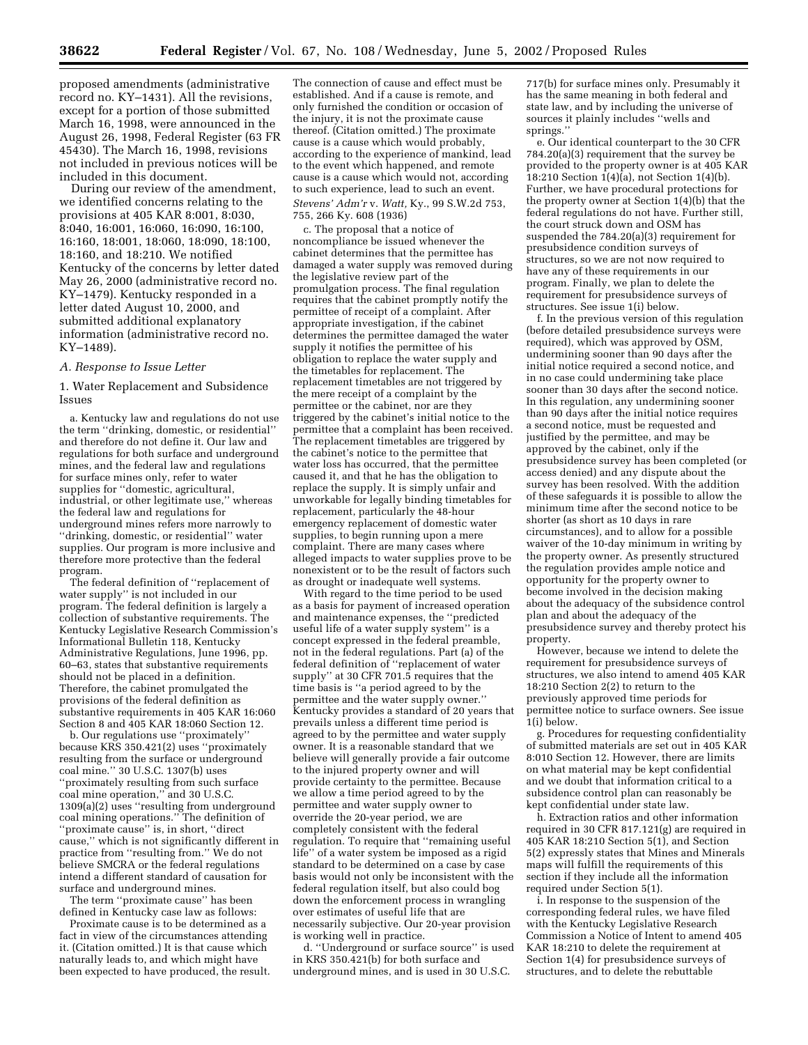proposed amendments (administrative record no. KY–1431). All the revisions, except for a portion of those submitted March 16, 1998, were announced in the August 26, 1998, Federal Register (63 FR 45430). The March 16, 1998, revisions not included in previous notices will be included in this document.

During our review of the amendment, we identified concerns relating to the provisions at 405 KAR 8:001, 8:030, 8:040, 16:001, 16:060, 16:090, 16:100, 16:160, 18:001, 18:060, 18:090, 18:100, 18:160, and 18:210. We notified Kentucky of the concerns by letter dated May 26, 2000 (administrative record no. KY–1479). Kentucky responded in a letter dated August 10, 2000, and submitted additional explanatory information (administrative record no. KY–1489).

#### *A. Response to Issue Letter*

1. Water Replacement and Subsidence Issues

a. Kentucky law and regulations do not use the term ''drinking, domestic, or residential'' and therefore do not define it. Our law and regulations for both surface and underground mines, and the federal law and regulations for surface mines only, refer to water supplies for ''domestic, agricultural, industrial, or other legitimate use,'' whereas the federal law and regulations for underground mines refers more narrowly to ''drinking, domestic, or residential'' water supplies. Our program is more inclusive and therefore more protective than the federal program.

The federal definition of ''replacement of water supply'' is not included in our program. The federal definition is largely a collection of substantive requirements. The Kentucky Legislative Research Commission's Informational Bulletin 118, Kentucky Administrative Regulations, June 1996, pp. 60–63, states that substantive requirements should not be placed in a definition. Therefore, the cabinet promulgated the provisions of the federal definition as substantive requirements in 405 KAR 16:060 Section 8 and 405 KAR 18:060 Section 12.

b. Our regulations use ''proximately'' because KRS 350.421(2) uses ''proximately resulting from the surface or underground coal mine.'' 30 U.S.C. 1307(b) uses ''proximately resulting from such surface coal mine operation,'' and 30 U.S.C. 1309(a)(2) uses ''resulting from underground coal mining operations.'' The definition of ''proximate cause'' is, in short, ''direct cause,'' which is not significantly different in practice from ''resulting from.'' We do not believe SMCRA or the federal regulations intend a different standard of causation for surface and underground mines.

The term ''proximate cause'' has been defined in Kentucky case law as follows:

Proximate cause is to be determined as a fact in view of the circumstances attending it. (Citation omitted.) It is that cause which naturally leads to, and which might have been expected to have produced, the result.

The connection of cause and effect must be established. And if a cause is remote, and only furnished the condition or occasion of the injury, it is not the proximate cause thereof. (Citation omitted.) The proximate cause is a cause which would probably, according to the experience of mankind, lead to the event which happened, and remote cause is a cause which would not, according to such experience, lead to such an event. *Stevens' Adm'r* v. *Watt,* Ky., 99 S.W.2d 753, 755, 266 Ky. 608 (1936)

c. The proposal that a notice of noncompliance be issued whenever the cabinet determines that the permittee has damaged a water supply was removed during the legislative review part of the promulgation process. The final regulation requires that the cabinet promptly notify the permittee of receipt of a complaint. After appropriate investigation, if the cabinet determines the permittee damaged the water supply it notifies the permittee of his obligation to replace the water supply and the timetables for replacement. The replacement timetables are not triggered by the mere receipt of a complaint by the permittee or the cabinet, nor are they triggered by the cabinet's initial notice to the permittee that a complaint has been received. The replacement timetables are triggered by the cabinet's notice to the permittee that water loss has occurred, that the permittee caused it, and that he has the obligation to replace the supply. It is simply unfair and unworkable for legally binding timetables for replacement, particularly the 48-hour emergency replacement of domestic water supplies, to begin running upon a mere complaint. There are many cases where alleged impacts to water supplies prove to be nonexistent or to be the result of factors such as drought or inadequate well systems.

With regard to the time period to be used as a basis for payment of increased operation and maintenance expenses, the ''predicted useful life of a water supply system'' is a concept expressed in the federal preamble, not in the federal regulations. Part (a) of the federal definition of ''replacement of water supply'' at 30 CFR 701.5 requires that the time basis is ''a period agreed to by the permittee and the water supply owner.'' Kentucky provides a standard of 20 years that prevails unless a different time period is agreed to by the permittee and water supply owner. It is a reasonable standard that we believe will generally provide a fair outcome to the injured property owner and will provide certainty to the permittee. Because we allow a time period agreed to by the permittee and water supply owner to override the 20-year period, we are completely consistent with the federal regulation. To require that ''remaining useful life'' of a water system be imposed as a rigid standard to be determined on a case by case basis would not only be inconsistent with the federal regulation itself, but also could bog down the enforcement process in wrangling over estimates of useful life that are necessarily subjective. Our 20-year provision is working well in practice.

d. ''Underground or surface source'' is used in KRS 350.421(b) for both surface and underground mines, and is used in 30 U.S.C.

717(b) for surface mines only. Presumably it has the same meaning in both federal and state law, and by including the universe of sources it plainly includes ''wells and springs.

e. Our identical counterpart to the 30 CFR 784.20(a)(3) requirement that the survey be provided to the property owner is at 405 KAR 18:210 Section  $1(4)(a)$ , not Section  $1(4)(b)$ . Further, we have procedural protections for the property owner at Section 1(4)(b) that the federal regulations do not have. Further still, the court struck down and OSM has suspended the 784.20(a)(3) requirement for presubsidence condition surveys of structures, so we are not now required to have any of these requirements in our program. Finally, we plan to delete the requirement for presubsidence surveys of structures. See issue 1(i) below.

f. In the previous version of this regulation (before detailed presubsidence surveys were required), which was approved by OSM, undermining sooner than 90 days after the initial notice required a second notice, and in no case could undermining take place sooner than 30 days after the second notice. In this regulation, any undermining sooner than 90 days after the initial notice requires a second notice, must be requested and justified by the permittee, and may be approved by the cabinet, only if the presubsidence survey has been completed (or access denied) and any dispute about the survey has been resolved. With the addition of these safeguards it is possible to allow the minimum time after the second notice to be shorter (as short as 10 days in rare circumstances), and to allow for a possible waiver of the 10-day minimum in writing by the property owner. As presently structured the regulation provides ample notice and opportunity for the property owner to become involved in the decision making about the adequacy of the subsidence control plan and about the adequacy of the presubsidence survey and thereby protect his property.

However, because we intend to delete the requirement for presubsidence surveys of structures, we also intend to amend 405 KAR 18:210 Section 2(2) to return to the previously approved time periods for permittee notice to surface owners. See issue 1(i) below.

g. Procedures for requesting confidentiality of submitted materials are set out in 405 KAR 8:010 Section 12. However, there are limits on what material may be kept confidential and we doubt that information critical to a subsidence control plan can reasonably be kept confidential under state law.

h. Extraction ratios and other information required in 30 CFR 817.121(g) are required in 405 KAR 18:210 Section 5(1), and Section 5(2) expressly states that Mines and Minerals maps will fulfill the requirements of this section if they include all the information required under Section 5(1).

i. In response to the suspension of the corresponding federal rules, we have filed with the Kentucky Legislative Research Commission a Notice of Intent to amend 405 KAR 18:210 to delete the requirement at Section 1(4) for presubsidence surveys of structures, and to delete the rebuttable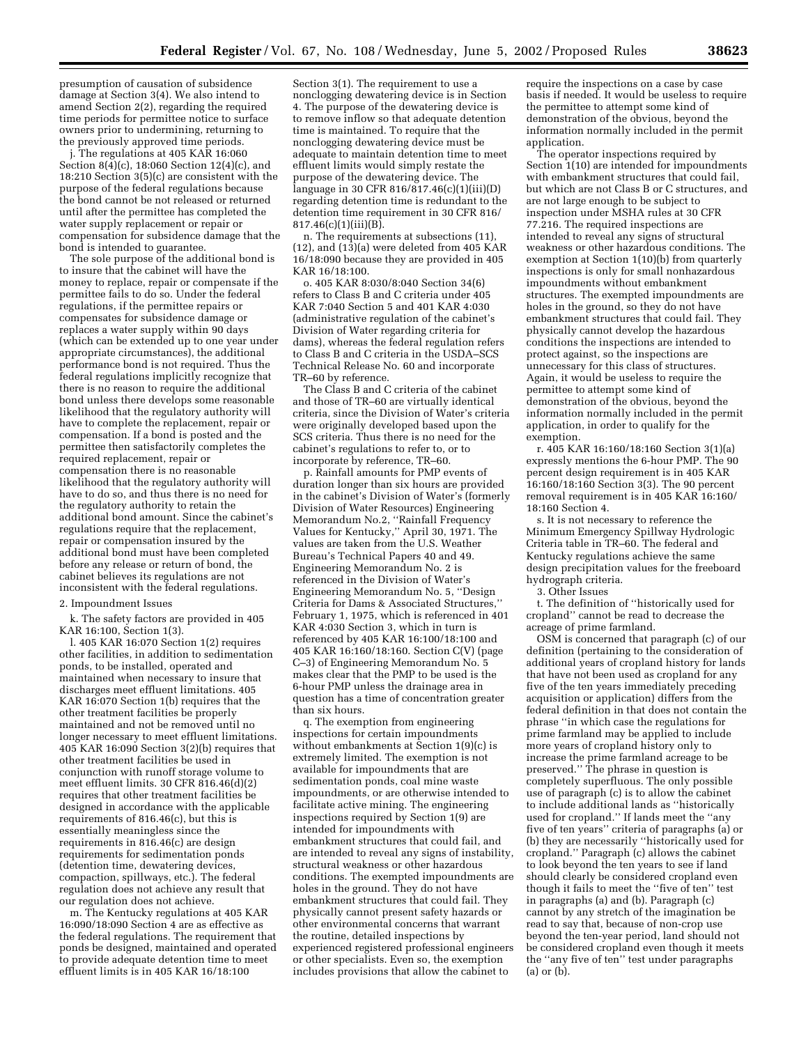presumption of causation of subsidence damage at Section 3(4). We also intend to amend Section 2(2), regarding the required time periods for permittee notice to surface owners prior to undermining, returning to the previously approved time periods.

j. The regulations at 405 KAR 16:060 Section 8(4)(c), 18:060 Section 12(4)(c), and 18:210 Section 3(5)(c) are consistent with the purpose of the federal regulations because the bond cannot be not released or returned until after the permittee has completed the water supply replacement or repair or compensation for subsidence damage that the bond is intended to guarantee.

The sole purpose of the additional bond is to insure that the cabinet will have the money to replace, repair or compensate if the permittee fails to do so. Under the federal regulations, if the permittee repairs or compensates for subsidence damage or replaces a water supply within 90 days (which can be extended up to one year under appropriate circumstances), the additional performance bond is not required. Thus the federal regulations implicitly recognize that there is no reason to require the additional bond unless there develops some reasonable likelihood that the regulatory authority will have to complete the replacement, repair or compensation. If a bond is posted and the permittee then satisfactorily completes the required replacement, repair or compensation there is no reasonable likelihood that the regulatory authority will have to do so, and thus there is no need for the regulatory authority to retain the additional bond amount. Since the cabinet's regulations require that the replacement, repair or compensation insured by the additional bond must have been completed before any release or return of bond, the cabinet believes its regulations are not inconsistent with the federal regulations.

#### 2. Impoundment Issues

k. The safety factors are provided in 405 KAR 16:100, Section 1(3).

l. 405 KAR 16:070 Section 1(2) requires other facilities, in addition to sedimentation ponds, to be installed, operated and maintained when necessary to insure that discharges meet effluent limitations. 405 KAR 16:070 Section 1(b) requires that the other treatment facilities be properly maintained and not be removed until no longer necessary to meet effluent limitations. 405 KAR 16:090 Section 3(2)(b) requires that other treatment facilities be used in conjunction with runoff storage volume to meet effluent limits. 30 CFR 816.46(d)(2) requires that other treatment facilities be designed in accordance with the applicable requirements of 816.46(c), but this is essentially meaningless since the requirements in 816.46(c) are design requirements for sedimentation ponds (detention time, dewatering devices, compaction, spillways, etc.). The federal regulation does not achieve any result that our regulation does not achieve.

m. The Kentucky regulations at 405 KAR 16:090/18:090 Section 4 are as effective as the federal regulations. The requirement that ponds be designed, maintained and operated to provide adequate detention time to meet effluent limits is in 405 KAR 16/18:100

Section 3(1). The requirement to use a nonclogging dewatering device is in Section 4. The purpose of the dewatering device is to remove inflow so that adequate detention time is maintained. To require that the nonclogging dewatering device must be adequate to maintain detention time to meet effluent limits would simply restate the purpose of the dewatering device. The language in 30 CFR 816/817.46(c)(1)(iii)(D) regarding detention time is redundant to the detention time requirement in 30 CFR 816/  $817.46(c)(1)(iii)(B)$ .

n. The requirements at subsections (11),  $(12)$ , and  $(13)(a)$  were deleted from 405 KAR 16/18:090 because they are provided in 405 KAR 16/18:100.

o. 405 KAR 8:030/8:040 Section 34(6) refers to Class B and C criteria under 405 KAR 7:040 Section 5 and 401 KAR 4:030 (administrative regulation of the cabinet's Division of Water regarding criteria for dams), whereas the federal regulation refers to Class B and C criteria in the USDA–SCS Technical Release No. 60 and incorporate TR–60 by reference.

The Class B and C criteria of the cabinet and those of TR–60 are virtually identical criteria, since the Division of Water's criteria were originally developed based upon the SCS criteria. Thus there is no need for the cabinet's regulations to refer to, or to incorporate by reference, TR–60.

p. Rainfall amounts for PMP events of duration longer than six hours are provided in the cabinet's Division of Water's (formerly Division of Water Resources) Engineering Memorandum No.2, ''Rainfall Frequency Values for Kentucky,'' April 30, 1971. The values are taken from the U.S. Weather Bureau's Technical Papers 40 and 49. Engineering Memorandum No. 2 is referenced in the Division of Water's Engineering Memorandum No. 5, ''Design Criteria for Dams & Associated Structures,'' February 1, 1975, which is referenced in 401 KAR 4:030 Section 3, which in turn is referenced by 405 KAR 16:100/18:100 and 405 KAR 16:160/18:160. Section C(V) (page C–3) of Engineering Memorandum No. 5 makes clear that the PMP to be used is the 6-hour PMP unless the drainage area in question has a time of concentration greater than six hours.

q. The exemption from engineering inspections for certain impoundments without embankments at Section 1(9)(c) is extremely limited. The exemption is not available for impoundments that are sedimentation ponds, coal mine waste impoundments, or are otherwise intended to facilitate active mining. The engineering inspections required by Section 1(9) are intended for impoundments with embankment structures that could fail, and are intended to reveal any signs of instability, structural weakness or other hazardous conditions. The exempted impoundments are holes in the ground. They do not have embankment structures that could fail. They physically cannot present safety hazards or other environmental concerns that warrant the routine, detailed inspections by experienced registered professional engineers or other specialists. Even so, the exemption includes provisions that allow the cabinet to

require the inspections on a case by case basis if needed. It would be useless to require the permittee to attempt some kind of demonstration of the obvious, beyond the information normally included in the permit application.

The operator inspections required by Section 1(10) are intended for impoundments with embankment structures that could fail, but which are not Class B or C structures, and are not large enough to be subject to inspection under MSHA rules at 30 CFR 77.216. The required inspections are intended to reveal any signs of structural weakness or other hazardous conditions. The exemption at Section 1(10)(b) from quarterly inspections is only for small nonhazardous impoundments without embankment structures. The exempted impoundments are holes in the ground, so they do not have embankment structures that could fail. They physically cannot develop the hazardous conditions the inspections are intended to protect against, so the inspections are unnecessary for this class of structures. Again, it would be useless to require the permittee to attempt some kind of demonstration of the obvious, beyond the information normally included in the permit application, in order to qualify for the exemption.

r. 405 KAR 16:160/18:160 Section 3(1)(a) expressly mentions the 6-hour PMP. The 90 percent design requirement is in 405 KAR 16:160/18:160 Section 3(3). The 90 percent removal requirement is in 405 KAR 16:160/ 18:160 Section 4.

s. It is not necessary to reference the Minimum Emergency Spillway Hydrologic Criteria table in TR–60. The federal and Kentucky regulations achieve the same design precipitation values for the freeboard hydrograph criteria.

3. Other Issues

t. The definition of ''historically used for cropland'' cannot be read to decrease the acreage of prime farmland.

OSM is concerned that paragraph (c) of our definition (pertaining to the consideration of additional years of cropland history for lands that have not been used as cropland for any five of the ten years immediately preceding acquisition or application) differs from the federal definition in that does not contain the phrase ''in which case the regulations for prime farmland may be applied to include more years of cropland history only to increase the prime farmland acreage to be preserved.'' The phrase in question is completely superfluous. The only possible use of paragraph (c) is to allow the cabinet to include additional lands as ''historically used for cropland.'' If lands meet the ''any five of ten years'' criteria of paragraphs (a) or (b) they are necessarily ''historically used for cropland.'' Paragraph (c) allows the cabinet to look beyond the ten years to see if land should clearly be considered cropland even though it fails to meet the ''five of ten'' test in paragraphs (a) and (b). Paragraph (c) cannot by any stretch of the imagination be read to say that, because of non-crop use beyond the ten-year period, land should not be considered cropland even though it meets the ''any five of ten'' test under paragraphs (a) or (b).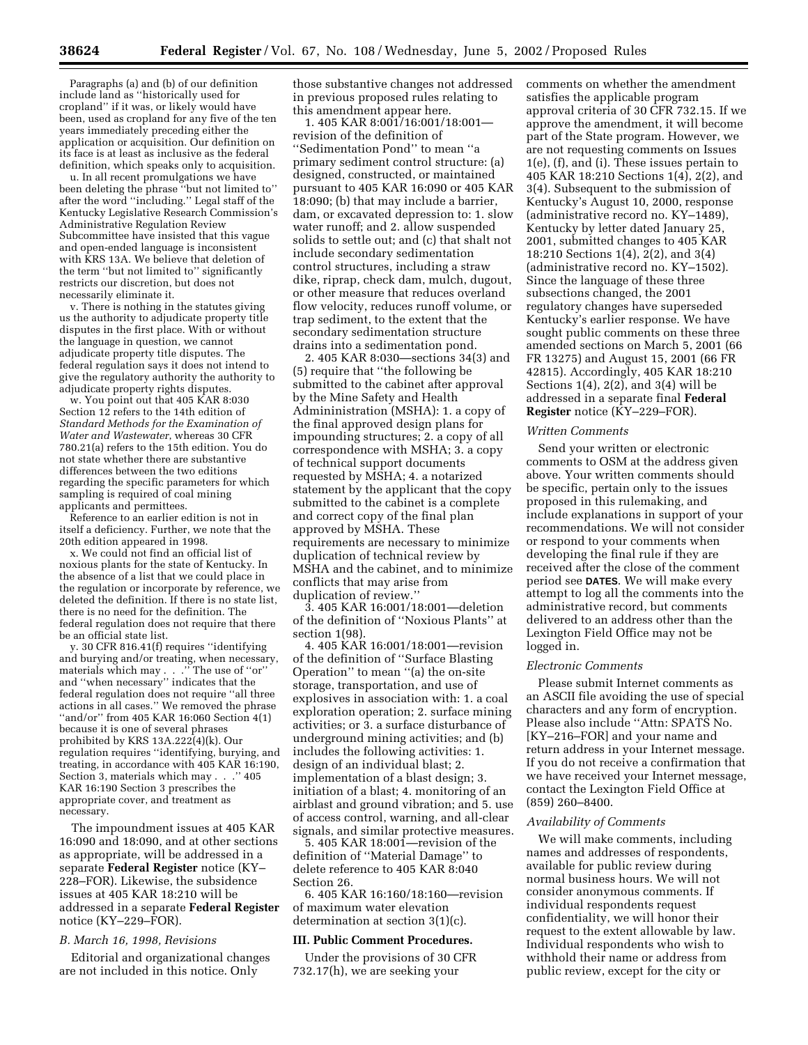Paragraphs (a) and (b) of our definition include land as ''historically used for cropland'' if it was, or likely would have been, used as cropland for any five of the ten years immediately preceding either the application or acquisition. Our definition on its face is at least as inclusive as the federal definition, which speaks only to acquisition.

u. In all recent promulgations we have been deleting the phrase ''but not limited to'' after the word ''including.'' Legal staff of the Kentucky Legislative Research Commission's Administrative Regulation Review Subcommittee have insisted that this vague and open-ended language is inconsistent with KRS 13A. We believe that deletion of the term ''but not limited to'' significantly restricts our discretion, but does not necessarily eliminate it.

v. There is nothing in the statutes giving us the authority to adjudicate property title disputes in the first place. With or without the language in question, we cannot adjudicate property title disputes. The federal regulation says it does not intend to give the regulatory authority the authority to adjudicate property rights disputes.

w. You point out that 405 KAR 8:030 Section 12 refers to the 14th edition of *Standard Methods for the Examination of Water and Wastewater*, whereas 30 CFR 780.21(a) refers to the 15th edition. You do not state whether there are substantive differences between the two editions regarding the specific parameters for which sampling is required of coal mining applicants and permittees.

Reference to an earlier edition is not in itself a deficiency. Further, we note that the 20th edition appeared in 1998.

x. We could not find an official list of noxious plants for the state of Kentucky. In the absence of a list that we could place in the regulation or incorporate by reference, we deleted the definition. If there is no state list, there is no need for the definition. The federal regulation does not require that there be an official state list.

y. 30 CFR 816.41(f) requires ''identifying and burying and/or treating, when necessary, materials which may . . .'' The use of ''or'' and ''when necessary'' indicates that the federal regulation does not require ''all three actions in all cases.'' We removed the phrase "and/or" from 405 KAR 16:060 Section 4(1) because it is one of several phrases prohibited by KRS 13A.222(4)(k). Our regulation requires ''identifying, burying, and treating, in accordance with 405 KAR 16:190, Section 3, materials which may . . .'' 405 KAR 16:190 Section 3 prescribes the appropriate cover, and treatment as necessary.

The impoundment issues at 405 KAR 16:090 and 18:090, and at other sections as appropriate, will be addressed in a separate **Federal Register** notice (KY– 228–FOR). Likewise, the subsidence issues at 405 KAR 18:210 will be addressed in a separate **Federal Register** notice (KY–229–FOR).

#### *B. March 16, 1998, Revisions*

Editorial and organizational changes are not included in this notice. Only

those substantive changes not addressed in previous proposed rules relating to this amendment appear here.

1. 405 KAR 8:001/16:001/18:001 revision of the definition of ''Sedimentation Pond'' to mean ''a primary sediment control structure: (a) designed, constructed, or maintained pursuant to 405 KAR 16:090 or 405 KAR 18:090; (b) that may include a barrier, dam, or excavated depression to: 1. slow water runoff; and 2. allow suspended solids to settle out; and (c) that shalt not include secondary sedimentation control structures, including a straw dike, riprap, check dam, mulch, dugout, or other measure that reduces overland flow velocity, reduces runoff volume, or trap sediment, to the extent that the secondary sedimentation structure drains into a sedimentation pond.

2. 405 KAR 8:030—sections 34(3) and (5) require that ''the following be submitted to the cabinet after approval by the Mine Safety and Health Admininistration (MSHA): 1. a copy of the final approved design plans for impounding structures; 2. a copy of all correspondence with MSHA; 3. a copy of technical support documents requested by MSHA; 4. a notarized statement by the applicant that the copy submitted to the cabinet is a complete and correct copy of the final plan approved by MSHA. These requirements are necessary to minimize duplication of technical review by MSHA and the cabinet, and to minimize conflicts that may arise from duplication of review.''

3. 405 KAR 16:001/18:001—deletion of the definition of ''Noxious Plants'' at section 1(98).

4. 405 KAR 16:001/18:001—revision of the definition of ''Surface Blasting Operation'' to mean ''(a) the on-site storage, transportation, and use of explosives in association with: 1. a coal exploration operation; 2. surface mining activities; or 3. a surface disturbance of underground mining activities; and (b) includes the following activities: 1. design of an individual blast; 2. implementation of a blast design; 3. initiation of a blast; 4. monitoring of an airblast and ground vibration; and 5. use of access control, warning, and all-clear signals, and similar protective measures.

5. 405 KAR 18:001—revision of the definition of ''Material Damage'' to delete reference to 405 KAR 8:040 Section 26.

6. 405 KAR 16:160/18:160—revision of maximum water elevation determination at section 3(1)(c).

## **III. Public Comment Procedures.**

Under the provisions of 30 CFR 732.17(h), we are seeking your

comments on whether the amendment satisfies the applicable program approval criteria of 30 CFR 732.15. If we approve the amendment, it will become part of the State program. However, we are not requesting comments on Issues 1(e), (f), and (i). These issues pertain to 405 KAR 18:210 Sections 1(4), 2(2), and 3(4). Subsequent to the submission of Kentucky's August 10, 2000, response (administrative record no. KY–1489), Kentucky by letter dated January 25, 2001, submitted changes to 405 KAR 18:210 Sections 1(4), 2(2), and 3(4) (administrative record no. KY–1502). Since the language of these three subsections changed, the 2001 regulatory changes have superseded Kentucky's earlier response. We have sought public comments on these three amended sections on March 5, 2001 (66 FR 13275) and August 15, 2001 (66 FR 42815). Accordingly, 405 KAR 18:210 Sections  $1(4)$ ,  $2(2)$ , and  $3(4)$  will be addressed in a separate final **Federal Register** notice (KY–229–FOR).

#### *Written Comments*

Send your written or electronic comments to OSM at the address given above. Your written comments should be specific, pertain only to the issues proposed in this rulemaking, and include explanations in support of your recommendations. We will not consider or respond to your comments when developing the final rule if they are received after the close of the comment period see **DATES**. We will make every attempt to log all the comments into the administrative record, but comments delivered to an address other than the Lexington Field Office may not be logged in.

#### *Electronic Comments*

Please submit Internet comments as an ASCII file avoiding the use of special characters and any form of encryption. Please also include ''Attn: SPATS No. [KY–216–FOR] and your name and return address in your Internet message. If you do not receive a confirmation that we have received your Internet message, contact the Lexington Field Office at (859) 260–8400.

## *Availability of Comments*

We will make comments, including names and addresses of respondents, available for public review during normal business hours. We will not consider anonymous comments. If individual respondents request confidentiality, we will honor their request to the extent allowable by law. Individual respondents who wish to withhold their name or address from public review, except for the city or